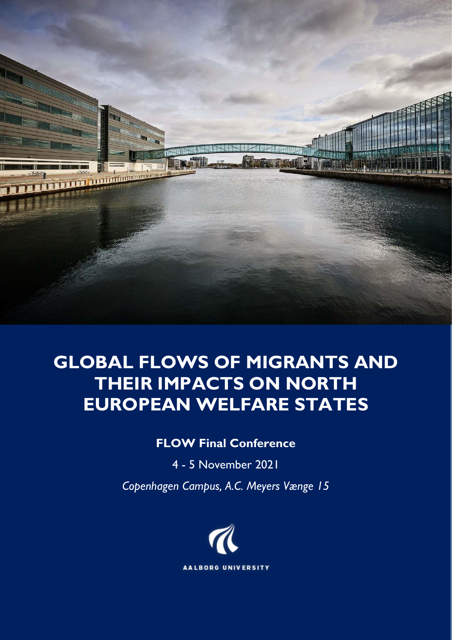

# **GLOBAL FLOWS OF MIGRANTS AND THEIR IMPACTS ON NORTH EUROPEAN WELFARE STATES**

## **FLOW Final Conference**

4 - 5 November 2021

*Copenhagen Campus, A.C. Meyers Vænge 15*

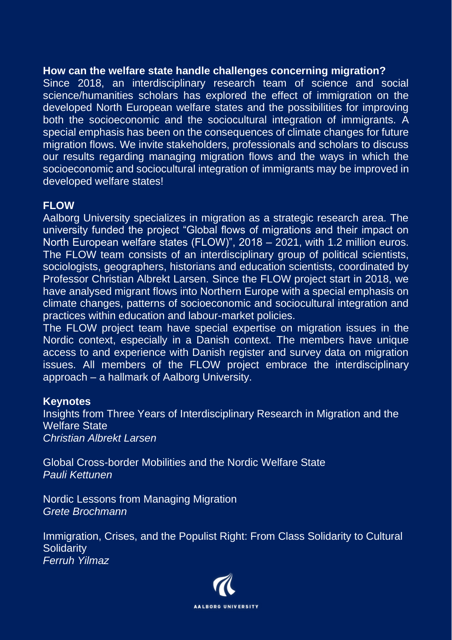## **How can the welfare state handle challenges concerning migration?**

Since 2018, an interdisciplinary research team of science and social science/humanities scholars has explored the effect of immigration on the developed North European welfare states and the possibilities for improving both the socioeconomic and the sociocultural integration of immigrants. A special emphasis has been on the consequences of climate changes for future migration flows. We invite stakeholders, professionals and scholars to discuss our results regarding managing migration flows and the ways in which the socioeconomic and sociocultural integration of immigrants may be improved in developed welfare states!

## **FLOW**

Aalborg University specializes in migration as a strategic research area. The university funded the project "Global flows of migrations and their impact on North European welfare states (FLOW)", 2018 – 2021, with 1.2 million euros. The FLOW team consists of an interdisciplinary group of political scientists, sociologists, geographers, historians and education scientists, coordinated by Professor Christian Albrekt Larsen. Since the FLOW project start in 2018, we have analysed migrant flows into Northern Europe with a special emphasis on climate changes, patterns of socioeconomic and sociocultural integration and practices within education and labour-market policies.

The FLOW project team have special expertise on migration issues in the Nordic context, especially in a Danish context. The members have unique access to and experience with Danish register and survey data on migration issues. All members of the FLOW project embrace the interdisciplinary approach – a hallmark of Aalborg University.

### **Keynotes**

Insights from Three Years of Interdisciplinary Research in Migration and the Welfare State *Christian Albrekt Larsen* 

Global Cross-border Mobilities and the Nordic Welfare State *Pauli Kettunen* 

Nordic Lessons from Managing Migration *Grete Brochmann*

Immigration, Crises, and the Populist Right: From Class Solidarity to Cultural **Solidarity** *Ferruh Yilmaz* 

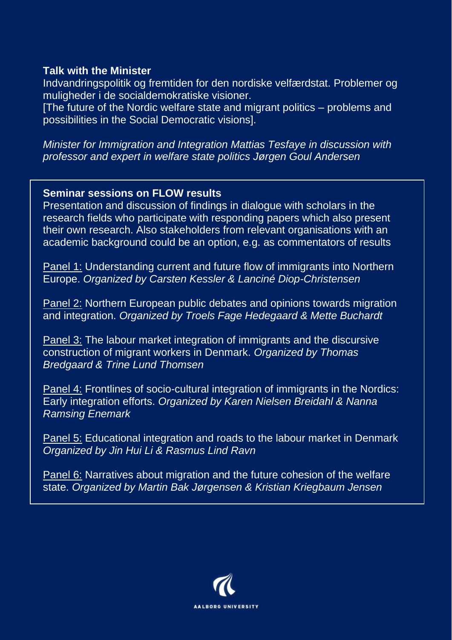### **Talk with the Minister**

Indvandringspolitik og fremtiden for den nordiske velfærdstat. Problemer og muligheder i de socialdemokratiske visioner.

[The future of the Nordic welfare state and migrant politics – problems and possibilities in the Social Democratic visions].

*Minister for Immigration and Integration Mattias Tesfaye in discussion with professor and expert in welfare state politics Jørgen Goul Andersen*

### **Seminar sessions on FLOW results**

Presentation and discussion of findings in dialogue with scholars in the research fields who participate with responding papers which also present their own research. Also stakeholders from relevant organisations with an academic background could be an option, e.g. as commentators of results

Panel 1: Understanding current and future flow of immigrants into Northern Europe. *Organized by Carsten Kessler & Lanciné Diop-Christensen*

Panel 2: Northern European public debates and opinions towards migration and integration. *Organized by Troels Fage Hedegaard & Mette Buchardt*

Panel 3: The labour market integration of immigrants and the discursive construction of migrant workers in Denmark. *Organized by Thomas Bredgaard & Trine Lund Thomsen*

Panel 4: Frontlines of socio-cultural integration of immigrants in the Nordics: Early integration efforts. *Organized by Karen Nielsen Breidahl & Nanna Ramsing Enemark*

Panel 5: Educational integration and roads to the labour market in Denmark *Organized by Jin Hui Li & Rasmus Lind Ravn* 

Panel 6: Narratives about migration and the future cohesion of the welfare state. *Organized by Martin Bak Jørgensen & Kristian Kriegbaum Jensen*

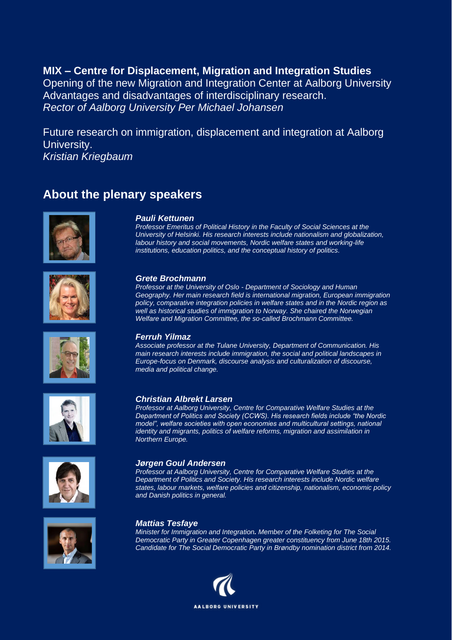**MIX – Centre for Displacement, Migration and Integration Studies** Opening of the new Migration and Integration Center at Aalborg University Advantages and disadvantages of interdisciplinary research. *Rector of Aalborg University Per Michael Johansen*

Future research on immigration, displacement and integration at Aalborg University. *Kristian Kriegbaum*

## **About the plenary speakers**





*Professor Emeritus of Political History in the Faculty of Social Sciences at the University of Helsinki. His research interests include nationalism and globalization,*  labour history and social movements, Nordic welfare states and working-life *institutions, education politics, and the conceptual history of politics.* 



#### *Grete Brochmann*

*Professor at the University of Oslo - Department of Sociology and Human Geography. Her main research field is international migration, European immigration policy, comparative integration policies in welfare states and in the Nordic region as well as historical studies of immigration to Norway. She chaired the Norwegian Welfare and Migration Committee, the so-called Brochmann Committee.*

#### *Ferruh Yilmaz*

*Associate professor at the Tulane University, Department of Communication. His main research interests include immigration, the social and political landscapes in Europe-focus on Denmark, discourse analysis and culturalization of discourse, media and political change.*







### *Christian Albrekt Larsen*

*Professor at Aalborg University, Centre for Comparative Welfare Studies at the Department of Politics and Society (CCWS). His research fields include "the Nordic model", welfare societies with open economies and multicultural settings, national identity and migrants, politics of welfare reforms, migration and assimilation in Northern Europe.*

#### *Jørgen Goul Andersen*

*Professor at Aalborg University, Centre for Comparative Welfare Studies at the Department of Politics and Society. His research interests include Nordic welfare states, labour markets, welfare policies and citizenship, nationalism, economic policy and Danish politics in general.*

#### *Mattias Tesfaye*

*Minister for Immigration and Integration. Member of the Folketing for The Social Democratic Party in Greater Copenhagen greater constituency from June 18th 2015. Candidate for The Social Democratic Party in Brøndby nomination district from 2014.*

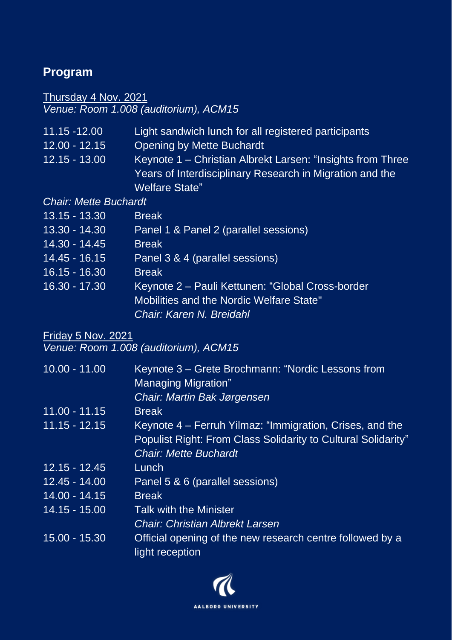## **Program**

## Thursday 4 Nov. 2021 *Venue: Room 1.008 (auditorium), ACM15*

| 11.15 -12.00                 | Light sandwich lunch for all registered participants       |
|------------------------------|------------------------------------------------------------|
| $12.00 - 12.15$              | <b>Opening by Mette Buchardt</b>                           |
| $12.15 - 13.00$              | Keynote 1 – Christian Albrekt Larsen: "Insights from Three |
|                              | Years of Interdisciplinary Research in Migration and the   |
|                              | <b>Welfare State"</b>                                      |
| <b>Chair: Mette Buchardt</b> |                                                            |
| <u> 13.15 - 13.30 </u>       | <b>Break</b>                                               |
| 13.30 - 14.30                | Panel 1 & Panel 2 (parallel sessions)                      |
| 14.30 - 14.45                | <b>Break</b>                                               |
| $14.45 - 16.15$              | Panel 3 & 4 (parallel sessions)                            |
| <u> 16.15 - 16.30 </u>       | <b>Break</b>                                               |
| 16.30 - 17.30                | Keynote 2 – Pauli Kettunen: "Global Cross-border           |

Mobilities and the Nordic Welfare State"

*Chair: Karen N. Breidahl*

## Friday 5 Nov. 2021

*Venue: Room 1.008 (auditorium), ACM15*

| $10.00 - 11.00$ | Keynote 3 – Grete Brochmann: "Nordic Lessons from<br><b>Managing Migration"</b> |
|-----------------|---------------------------------------------------------------------------------|
|                 | Chair: Martin Bak Jørgensen                                                     |
| $11.00 - 11.15$ | <b>Break</b>                                                                    |
| $11.15 - 12.15$ | Keynote 4 – Ferruh Yilmaz: "Immigration, Crises, and the                        |
|                 | Populist Right: From Class Solidarity to Cultural Solidarity"                   |
|                 | <b>Chair: Mette Buchardt</b>                                                    |
| $12.15 - 12.45$ | Lunch                                                                           |
| $12.45 - 14.00$ | Panel 5 & 6 (parallel sessions)                                                 |
| $14.00 - 14.15$ | <b>Break</b>                                                                    |
| $14.15 - 15.00$ | <b>Talk with the Minister</b>                                                   |
|                 | <b>Chair: Christian Albrekt Larsen</b>                                          |
| 15.00 - 15.30   | Official opening of the new research centre followed by a<br>light reception    |

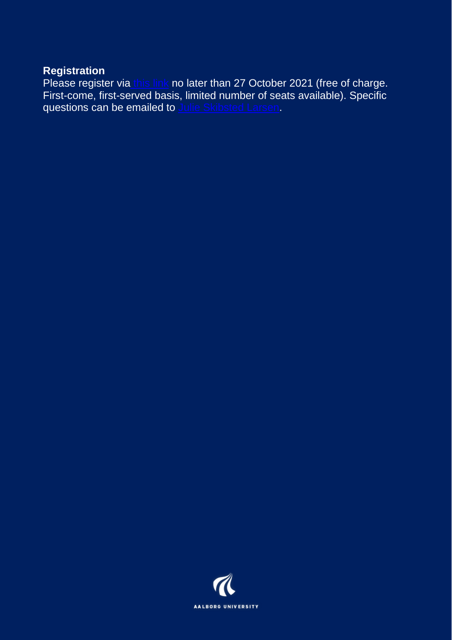## **Registration**

Please register via [this link](https://forms.office.com/r/f1SnEr5Krh) no later than 27 October 2021 (free of charge. First-come, first-served basis, limited number of seats available). Specific questions can be emailed to [Julie Skibsted Larsen.](mailto:skibsted@id.aau.dk?subject=FLOW%20Final%20Conference)

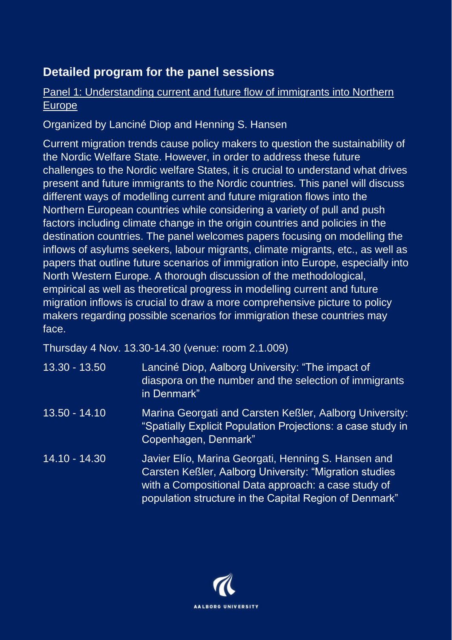## **Detailed program for the panel sessions**

## Panel 1: Understanding current and future flow of immigrants into Northern Europe

Organized by Lanciné Diop and Henning S. Hansen

Current migration trends cause policy makers to question the sustainability of the Nordic Welfare State. However, in order to address these future challenges to the Nordic welfare States, it is crucial to understand what drives present and future immigrants to the Nordic countries. This panel will discuss different ways of modelling current and future migration flows into the Northern European countries while considering a variety of pull and push factors including climate change in the origin countries and policies in the destination countries. The panel welcomes papers focusing on modelling the inflows of asylums seekers, labour migrants, climate migrants, etc., as well as papers that outline future scenarios of immigration into Europe, especially into North Western Europe. A thorough discussion of the methodological, empirical as well as theoretical progress in modelling current and future migration inflows is crucial to draw a more comprehensive picture to policy makers regarding possible scenarios for immigration these countries may face.

Thursday 4 Nov. 13.30-14.30 (venue: room 2.1.009)

| 13.30 - 13.50   | Lanciné Diop, Aalborg University: "The impact of<br>diaspora on the number and the selection of immigrants<br>in Denmark"                                                                                                      |
|-----------------|--------------------------------------------------------------------------------------------------------------------------------------------------------------------------------------------------------------------------------|
| $13.50 - 14.10$ | Marina Georgati and Carsten Keßler, Aalborg University:<br>"Spatially Explicit Population Projections: a case study in<br>Copenhagen, Denmark"                                                                                 |
| 14.10 - 14.30   | Javier Elío, Marina Georgati, Henning S. Hansen and<br>Carsten Keßler, Aalborg University: "Migration studies<br>with a Compositional Data approach: a case study of<br>population structure in the Capital Region of Denmark" |

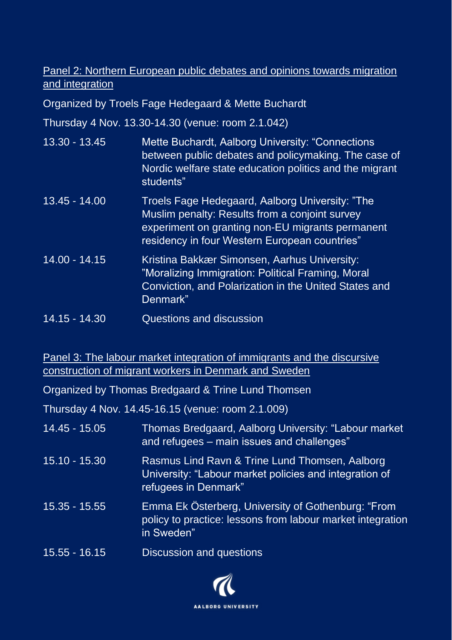## Panel 2: Northern European public debates and opinions towards migration and integration

Organized by Troels Fage Hedegaard & Mette Buchardt

Thursday 4 Nov. 13.30-14.30 (venue: room 2.1.042)

- 13.30 13.45 Mette Buchardt, Aalborg University: "Connections between public debates and policymaking. The case of Nordic welfare state education politics and the migrant students"
- 13.45 14.00 Troels Fage Hedegaard, Aalborg University: "The Muslim penalty: Results from a conjoint survey experiment on granting non-EU migrants permanent residency in four Western European countries"
- 14.00 14.15 Kristina Bakkær Simonsen, Aarhus University: "Moralizing Immigration: Political Framing, Moral Conviction, and Polarization in the United States and Denmark"
- 14.15 14.30 Questions and discussion

Panel 3: The labour market integration of immigrants and the discursive construction of migrant workers in Denmark and Sweden

Organized by Thomas Bredgaard & Trine Lund Thomsen

Thursday 4 Nov. 14.45-16.15 (venue: room 2.1.009)

| 14.45 - 15.05   | Thomas Bredgaard, Aalborg University: "Labour market<br>and refugees – main issues and challenges"                               |
|-----------------|----------------------------------------------------------------------------------------------------------------------------------|
| $15.10 - 15.30$ | Rasmus Lind Ravn & Trine Lund Thomsen, Aalborg<br>University: "Labour market policies and integration of<br>refugees in Denmark" |
| $15.35 - 15.55$ | Emma Ek Österberg, University of Gothenburg: "From<br>policy to practice: lessons from labour market integration<br>in Sweden"   |
| 15.55 - 16.15   | Discussion and questions                                                                                                         |

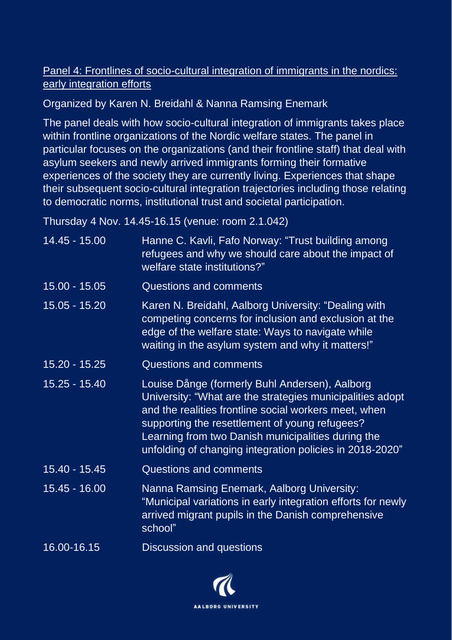## Panel 4: Frontlines of socio-cultural integration of immigrants in the nordics: early integration efforts

## Organized by Karen N. Breidahl & Nanna Ramsing Enemark

The panel deals with how socio-cultural integration of immigrants takes place within frontline organizations of the Nordic welfare states. The panel in particular focuses on the organizations (and their frontline staff) that deal with asylum seekers and newly arrived immigrants forming their formative experiences of the society they are currently living. Experiences that shape their subsequent socio-cultural integration trajectories including those relating to democratic norms, institutional trust and societal participation.

Thursday 4 Nov. 14.45-16.15 (venue: room 2.1.042)

| $14.45 - 15.00$ | Hanne C. Kavli, Fafo Norway: "Trust building among<br>refugees and why we should care about the impact of<br>welfare state institutions?"                                                                                                                                                                                                |
|-----------------|------------------------------------------------------------------------------------------------------------------------------------------------------------------------------------------------------------------------------------------------------------------------------------------------------------------------------------------|
| 15.00 - 15.05   | <b>Questions and comments</b>                                                                                                                                                                                                                                                                                                            |
| 15.05 - 15.20   | Karen N. Breidahl, Aalborg University: "Dealing with<br>competing concerns for inclusion and exclusion at the<br>edge of the welfare state: Ways to navigate while<br>waiting in the asylum system and why it matters!"                                                                                                                  |
| 15.20 - 15.25   | Questions and comments                                                                                                                                                                                                                                                                                                                   |
| 15.25 - 15.40   | Louise Dånge (formerly Buhl Andersen), Aalborg<br>University: "What are the strategies municipalities adopt<br>and the realities frontline social workers meet, when<br>supporting the resettlement of young refugees?<br>Learning from two Danish municipalities during the<br>unfolding of changing integration policies in 2018-2020" |
| 15.40 - 15.45   | <b>Questions and comments</b>                                                                                                                                                                                                                                                                                                            |
| 15.45 - 16.00   | Nanna Ramsing Enemark, Aalborg University:<br>"Municipal variations in early integration efforts for newly<br>arrived migrant pupils in the Danish comprehensive<br>school"                                                                                                                                                              |
| 16.00-16.15     | Discussion and questions                                                                                                                                                                                                                                                                                                                 |

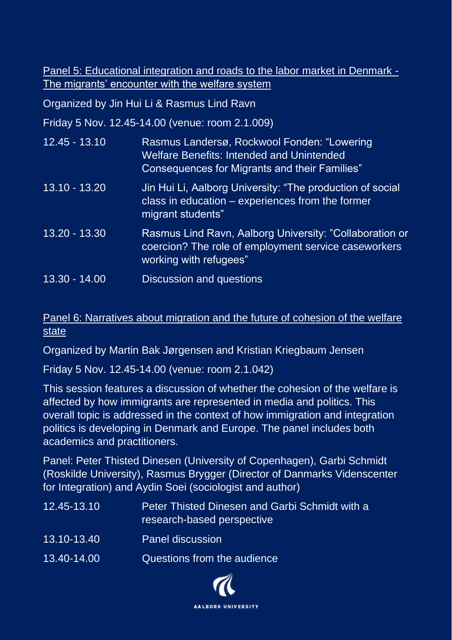Panel 5: Educational integration and roads to the labor market in Denmark - The migrants' encounter with the welfare system

Organized by Jin Hui Li & Rasmus Lind Ravn

Friday 5 Nov. 12.45-14.00 (venue: room 2.1.009)

| 12.45 - 13.10          | Rasmus Landersø, Rockwool Fonden: "Lowering<br><b>Welfare Benefits: Intended and Unintended</b><br><b>Consequences for Migrants and their Families"</b> |
|------------------------|---------------------------------------------------------------------------------------------------------------------------------------------------------|
| <u> 13.10 - 13.20 </u> | Jin Hui Li, Aalborg University: "The production of social<br>class in education $-$ experiences from the former<br>migrant students"                    |
| 13.20 - 13.30          | Rasmus Lind Ravn, Aalborg University: "Collaboration or<br>coercion? The role of employment service caseworkers<br>working with refugees"               |
| 13.30 - 14.00          | Discussion and questions                                                                                                                                |

## Panel 6: Narratives about migration and the future of cohesion of the welfare state

Organized by Martin Bak Jørgensen and Kristian Kriegbaum Jensen

Friday 5 Nov. 12.45-14.00 (venue: room 2.1.042)

This session features a discussion of whether the cohesion of the welfare is affected by how immigrants are represented in media and politics. This overall topic is addressed in the context of how immigration and integration politics is developing in Denmark and Europe. The panel includes both academics and practitioners.

Panel: Peter Thisted Dinesen (University of Copenhagen), Garbi Schmidt (Roskilde University), Rasmus Brygger (Director of Danmarks Videnscenter for Integration) and Aydin Soei (sociologist and author)

| 12.45-13.10 | Peter Thisted Dinesen and Garbi Schmidt with a<br>research-based perspective |
|-------------|------------------------------------------------------------------------------|
| 13.10-13.40 | <b>Panel discussion</b>                                                      |
| 13.40-14.00 | Questions from the audience                                                  |